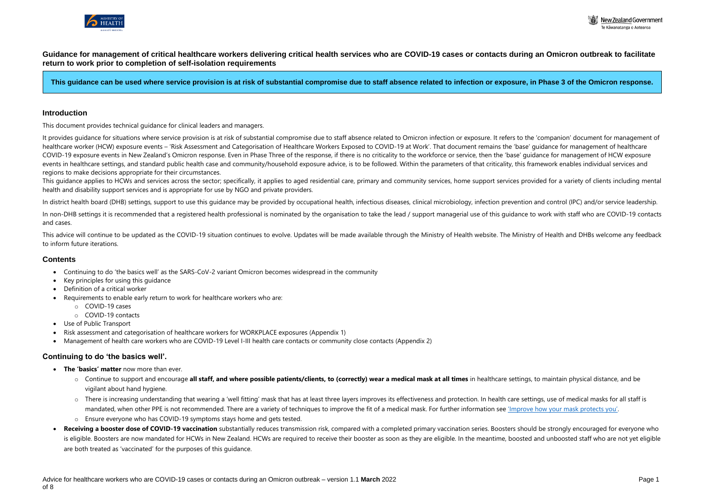



**Guidance for management of critical healthcare workers delivering critical health services who are COVID-19 cases or contacts during an Omicron outbreak to facilitate return to work prior to completion of self-isolation requirements**

**This guidance can be used where service provision is at risk of substantial compromise due to staff absence related to infection or exposure, in Phase 3 of the Omicron response.**

#### **Introduction**

This document provides technical guidance for clinical leaders and managers.

This quidance applies to HCWs and services across the sector; specifically, it applies to aged residential care, primary and community services, home support services provided for a variety of clients including mental health and disability support services and is appropriate for use by NGO and private providers.

In district health board (DHB) settings, support to use this guidance may be provided by occupational health, infectious diseases, clinical microbiology, infection prevention and control (IPC) and/or service leadership.

It provides guidance for situations where service provision is at risk of substantial compromise due to staff absence related to Omicron infection or exposure. It refers to the 'companion' document for management of healthcare worker (HCW) exposure events – 'Risk Assessment and Categorisation of Healthcare Workers Exposed to COVID-19 at Work'. That document remains the 'base' quidance for management of healthcare COVID-19 exposure events in New Zealand's Omicron response. Even in Phase Three of the response, if there is no criticality to the workforce or service, then the 'base' guidance for management of HCW exposure events in healthcare settings, and standard public health case and community/household exposure advice, is to be followed. Within the parameters of that criticality, this framework enables individual services and regions to make decisions appropriate for their circumstances.

In non-DHB settings it is recommended that a registered health professional is nominated by the organisation to take the lead / support managerial use of this quidance to work with staff who are COVID-19 contacts and cases.

This advice will continue to be updated as the COVID-19 situation continues to evolve. Updates will be made available through the Ministry of Health website. The Ministry of Health and DHBs welcome any feedback to inform future iterations.

## **Contents**

- Continuing to do 'the basics well' as the SARS-CoV-2 variant Omicron becomes widespread in the community
- Key principles for using this guidance
- Definition of a critical worker
- Requirements to enable early return to work for healthcare workers who are:
	- o COVID-19 cases
	- o COVID-19 contacts
- Use of Public Transport
- Risk assessment and categorisation of healthcare workers for WORKPLACE exposures (Appendix 1)
- Management of health care workers who are COVID-19 Level I-III health care contacts or community close contacts (Appendix 2)

#### **Continuing to do 'the basics well'.**

- **The 'basics' matter** now more than ever.
	- o Continue to support and encourage **all staff, and where possible patients/clients, to (correctly) wear a medical mask at all times** in healthcare settings, to maintain physical distance, and be vigilant about hand hygiene.
	- o There is increasing understanding that wearing a 'well fitting' mask that has at least three layers improves its effectiveness and protection. In health care settings, use of medical masks for all staff is mandated, when other PPE is not recommended. There are a variety of techniques to improve the fit of a medical mask. For further information see ['Improve how your mask protects you'](https://www.cdc.gov/coronavirus/2019-ncov/your-health/effective-masks.html).
	- o Ensure everyone who has COVID-19 symptoms stays home and gets tested.
- **Receiving a booster dose of COVID-19 vaccination** substantially reduces transmission risk, compared with a completed primary vaccination series. Boosters should be strongly encouraged for everyone who is eligible. Boosters are now mandated for HCWs in New Zealand. HCWs are required to receive their booster as soon as they are eligible. In the meantime, boosted and unboosted staff who are not yet eligible are both treated as 'vaccinated' for the purposes of this guidance.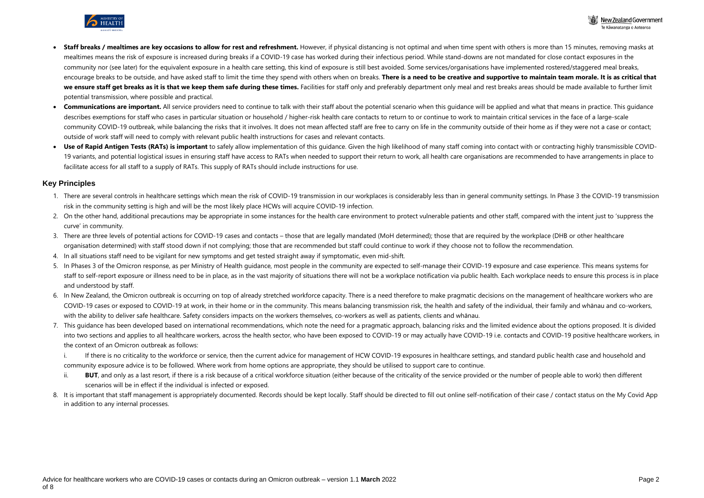



- **Staff breaks / mealtimes are key occasions to allow for rest and refreshment.** However, if physical distancing is not optimal and when time spent with others is more than 15 minutes, removing masks at mealtimes means the risk of exposure is increased during breaks if a COVID-19 case has worked during their infectious period. While stand-downs are not mandated for close contact exposures in the community nor (see later) for the equivalent exposure in a health care setting, this kind of exposure is still best avoided. Some services/organisations have implemented rostered/staggered meal breaks, encourage breaks to be outside, and have asked staff to limit the time they spend with others when on breaks. **There is a need to be creative and supportive to maintain team morale. It is as critical that** we ensure staff get breaks as it is that we keep them safe during these times. Facilities for staff only and preferably department only meal and rest breaks areas should be made available to further limit potential transmission, where possible and practical.
- **Communications are important.** All service providers need to continue to talk with their staff about the potential scenario when this quidance will be applied and what that means in practice. This quidance describes exemptions for staff who cases in particular situation or household / higher-risk health care contacts to return to or continue to work to maintain critical services in the face of a large-scale community COVID-19 outbreak, while balancing the risks that it involves. It does not mean affected staff are free to carry on life in the community outside of their home as if they were not a case or contact; outside of work staff will need to comply with relevant public health instructions for cases and relevant contacts.
- Use of Rapid Antigen Tests (RATs) is important to safely allow implementation of this quidance. Given the high likelihood of many staff coming into contact with or contracting highly transmissible COVID-19 variants, and potential logistical issues in ensuring staff have access to RATs when needed to support their return to work, all health care organisations are recommended to have arrangements in place to facilitate access for all staff to a supply of RATs. This supply of RATs should include instructions for use.

## **Key Principles**

- 1. There are several controls in healthcare settings which mean the risk of COVID-19 transmission in our workplaces is considerably less than in general community settings. In Phase 3 the COVID-19 transmission risk in the community setting is high and will be the most likely place HCWs will acquire COVID-19 infection.
- 2. On the other hand, additional precautions may be appropriate in some instances for the health care environment to protect vulnerable patients and other staff, compared with the intent just to 'suppress the curve' in community.
- 3. There are three levels of potential actions for COVID-19 cases and contacts those that are legally mandated (MoH determined); those that are required by the workplace (DHB or other healthcare organisation determined) with staff stood down if not complying; those that are recommended but staff could continue to work if they choose not to follow the recommendation.
- 4. In all situations staff need to be vigilant for new symptoms and get tested straight away if symptomatic, even mid-shift.
- 5. In Phases 3 of the Omicron response, as per Ministry of Health guidance, most people in the community are expected to self-manage their COVID-19 exposure and case experience. This means systems for staff to self-report exposure or illness need to be in place, as in the vast majority of situations there will not be a workplace notification via public health. Each workplace needs to ensure this process is in place and understood by staff.
- 6. In New Zealand, the Omicron outbreak is occurring on top of already stretched workforce capacity. There is a need therefore to make pragmatic decisions on the management of healthcare workers who are COVID-19 cases or exposed to COVID-19 at work, in their home or in the community. This means balancing transmission risk, the health and safety of the individual, their family and whānau and co-workers, with the ability to deliver safe healthcare. Safety considers impacts on the workers themselves, co-workers as well as patients, clients and whānau.
- 7. This guidance has been developed based on international recommendations, which note the need for a pragmatic approach, balancing risks and the limited evidence about the options proposed. It is divided into two sections and applies to all healthcare workers, across the health sector, who have been exposed to COVID-19 or may actually have COVID-19 i.e. contacts and COVID-19 positive healthcare workers, in the context of an Omicron outbreak as follows:
	- i. If there is no criticality to the workforce or service, then the current advice for management of HCW COVID-19 exposures in healthcare settings, and standard public health case and household and community exposure advice is to be followed. Where work from home options are appropriate, they should be utilised to support care to continue.
	- ii. **BUT**, and only as a last resort, if there is a risk because of a critical workforce situation (either because of the criticality of the service provided or the number of people able to work) then different scenarios will be in effect if the individual is infected or exposed.
- 8. It is important that staff management is appropriately documented. Records should be kept locally. Staff should be directed to fill out online self-notification of their case / contact status on the My Covid App in addition to any internal processes.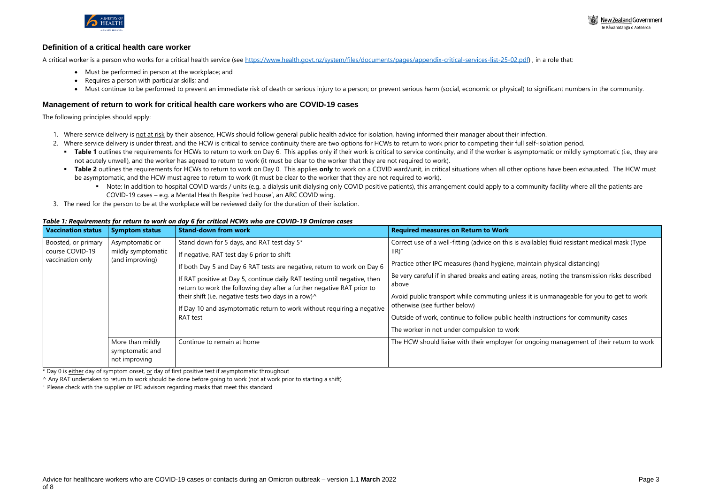

ilable) fluid resistant medical mask (Type

Itain physical distancing)

as, noting the transmission risks described

is unmanageable for you to get to work

instructions for community cases

ngoing management of their return to work



## **Definition of a critical health care worker**

A critical worker is a person who works for a critical health service (see [https://www.health.govt.nz/system/files/documents/pages/appendix-critical-services-list-25-02.pdf\)](https://www.health.govt.nz/system/files/documents/pages/appendix-critical-services-list-25-02.pdf), in a role that:

- Must be performed in person at the workplace; and
- Requires a person with particular skills; and
- Must continue to be performed to prevent an immediate risk of death or serious injury to a person; or prevent serious harm (social, economic or physical) to significant numbers in the community.

#### **Management of return to work for critical health care workers who are COVID-19 cases**

The following principles should apply:

- 1. Where service delivery is not at risk by their absence, HCWs should follow general public health advice for isolation, having informed their manager about their infection.
- 2. Where service delivery is under threat, and the HCW is critical to service continuity there are two options for HCWs to return to work prior to competing their full self-isolation period.
	- **Table 1** outlines the requirements for HCWs to return to work on Day 6. This applies only if their work is critical to service continuity, and if the worker is asymptomatic or mildly symptomatic (i.e., they are not acutely unwell), and the worker has agreed to return to work (it must be clear to the worker that they are not required to work).
	- **Table 2** outlines the requirements for HCWs to return to work on Day 0. This applies **only** to work on a COVID ward/unit, in critical situations when all other options have been exhausted. The HCW must be asymptomatic, and the HCW must agree to return to work (it must be clear to the worker that they are not required to work).
		- Note: In addition to hospital COVID wards / units (e.g. a dialysis unit dialysing only COVID positive patients), this arrangement could apply to a community facility where all the patients are COVID-19 cases – e.g. a Mental Health Respite 'red house', an ARC COVID wing.
- 3. The need for the person to be at the workplace will be reviewed daily for the duration of their isolation.

#### *Table 1: Requirements for return to work on day 6 for critical HCWs who are COVID-19 Omicron cases*

\* Day 0 is either day of symptom onset, or day of first positive test if asymptomatic throughout

| <b>Vaccination status</b>                                  | <b>Symptom status</b>                                    | <b>Stand-down from work</b>                                                                                                                                                                                                                                                                                                                                                                                                                                                          | <b>Required measures on Return to Work</b>                                                                                                                                                                                                                                                                                                                                         |
|------------------------------------------------------------|----------------------------------------------------------|--------------------------------------------------------------------------------------------------------------------------------------------------------------------------------------------------------------------------------------------------------------------------------------------------------------------------------------------------------------------------------------------------------------------------------------------------------------------------------------|------------------------------------------------------------------------------------------------------------------------------------------------------------------------------------------------------------------------------------------------------------------------------------------------------------------------------------------------------------------------------------|
| Boosted, or primary<br>course COVID-19<br>vaccination only | Asymptomatic or<br>mildly symptomatic<br>(and improving) | Stand down for 5 days, and RAT test day 5*<br>If negative, RAT test day 6 prior to shift<br>If both Day 5 and Day 6 RAT tests are negative, return to work on Day 6<br>If RAT positive at Day 5, continue daily RAT testing until negative, then<br>return to work the following day after a further negative RAT prior to<br>their shift (i.e. negative tests two days in a row) <sup>^</sup><br>If Day 10 and asymptomatic return to work without requiring a negative<br>RAT test | Correct use of a well-fitting (advice on this is avai<br>$\mathsf{IIR}$<br>Practice other IPC measures (hand hygiene, main<br>Be very careful if in shared breaks and eating are.<br>above<br>Avoid public transport while commuting unless it<br>otherwise (see further below)<br>Outside of work, continue to follow public health<br>The worker in not under compulsion to work |
|                                                            | More than mildly<br>symptomatic and<br>not improving     | Continue to remain at home                                                                                                                                                                                                                                                                                                                                                                                                                                                           | The HCW should liaise with their employer for or                                                                                                                                                                                                                                                                                                                                   |

^ Any RAT undertaken to return to work should be done before going to work (not at work prior to starting a shift)

<sup>+</sup> Please check with the supplier or IPC advisors regarding masks that meet this standard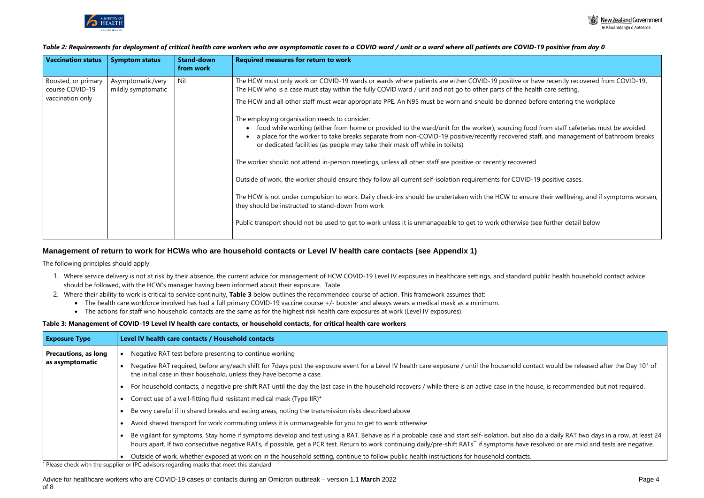

Te Kāwanatanga o Aotearoa

have recently recovered from COVID-19. ealth care setting.

before entering the workplace

od from staff cafeterias must be avoided staff, and management of bathroom breaks

-19 positive cases.

Inte their wellbeing, and if symptoms worsen,

(see further detail below

# *Table 2: Requirements for deployment of critical health care workers who are asymptomatic cases to a COVID ward / unit or a ward where all patients are COVID-19 positive from day 0*



| <b>Vaccination status</b>              | <b>Symptom status</b>                   | <b>Stand-down</b><br>from work | <b>Required measures for return to work</b>                                                                                                                                                                                                                                                                                           |
|----------------------------------------|-----------------------------------------|--------------------------------|---------------------------------------------------------------------------------------------------------------------------------------------------------------------------------------------------------------------------------------------------------------------------------------------------------------------------------------|
| Boosted, or primary<br>course COVID-19 | Asymptomatic/very<br>mildly symptomatic | Nil                            | The HCW must only work on COVID-19 wards or wards where patients are either COVID-19 positive or ha<br>The HCW who is a case must stay within the fully COVID ward / unit and not go to other parts of the hea                                                                                                                        |
| vaccination only                       |                                         |                                | The HCW and all other staff must wear appropriate PPE. An N95 must be worn and should be donned be                                                                                                                                                                                                                                    |
|                                        |                                         |                                | The employing organisation needs to consider:<br>food while working (either from home or provided to the ward/unit for the worker); sourcing food<br>a place for the worker to take breaks separate from non-COVID-19 positive/recently recovered sta<br>or dedicated facilities (as people may take their mask off while in toilets) |
|                                        |                                         |                                | The worker should not attend in-person meetings, unless all other staff are positive or recently recovered                                                                                                                                                                                                                            |
|                                        |                                         |                                | Outside of work, the worker should ensure they follow all current self-isolation requirements for COVID-1                                                                                                                                                                                                                             |
|                                        |                                         |                                | The HCW is not under compulsion to work. Daily check-ins should be undertaken with the HCW to ensur<br>they should be instructed to stand-down from work                                                                                                                                                                              |
|                                        |                                         |                                | Public transport should not be used to get to work unless it is unmanageable to get to work otherwise (s                                                                                                                                                                                                                              |
|                                        |                                         |                                |                                                                                                                                                                                                                                                                                                                                       |

# **Management of return to work for HCWs who are household contacts or Level IV health care contacts (see Appendix 1)**

The following principles should apply:

- 1. Where service delivery is not at risk by their absence, the current advice for management of HCW COVID-19 Level IV exposures in healthcare settings, and standard public health household contact advice should be followed, with the HCW's manager having been informed about their exposure. Table
- 2. Where their ability to work is critical to service continuity, **Table 3** below outlines the recommended course of action. This framework assumes that:
	- The health care workforce involved has had a full primary COVID-19 vaccine course +/- booster and always wears a medical mask as a minimum.
	- The actions for staff who household contacts are the same as for the highest risk health care exposures at work (Level IV exposures).

## **Table 3: Management of COVID-19 Level IV health care contacts, or household contacts, for critical health care workers**

| <b>Exposure Type</b>                           | Level IV health care contacts / Household contacts                                                                                                                                                                                                                                                                                                                                                                                                                                                                                                                                                                                                                                                                                                     |
|------------------------------------------------|--------------------------------------------------------------------------------------------------------------------------------------------------------------------------------------------------------------------------------------------------------------------------------------------------------------------------------------------------------------------------------------------------------------------------------------------------------------------------------------------------------------------------------------------------------------------------------------------------------------------------------------------------------------------------------------------------------------------------------------------------------|
| <b>Precautions, as long</b><br>as asymptomatic | Negative RAT test before presenting to continue working<br>Negative RAT required, before any/each shift for 7days post the exposure event for a Level IV health care exposure / until the household contact would be released after the Day 10 <sup>+</sup> of<br>the initial case in their household, unless they have become a case.<br>For household contacts, a negative pre-shift RAT until the day the last case in the household recovers / while there is an active case in the house, is recommended but not required.<br>Correct use of a well-fitting fluid resistant medical mask (Type IIR)*                                                                                                                                              |
|                                                | Be very careful if in shared breaks and eating areas, noting the transmission risks described above<br>Avoid shared transport for work commuting unless it is unmanageable for you to get to work otherwise<br>Be vigilant for symptoms. Stay home if symptoms develop and test using a RAT. Behave as if a probable case and start self-isolation, but also do a daily RAT two days in a row, at least 2<br>hours apart. If two consecutive negative RATs, if possible, get a PCR test. Return to work continuing daily/pre-shift RATs** if symptoms have resolved or are mild and tests are negative.<br>Outside of work, whether exposed at work on in the household setting, continue to follow public health instructions for household contacts. |

\* Please check with the supplier or IPC advisors regarding masks that meet this standard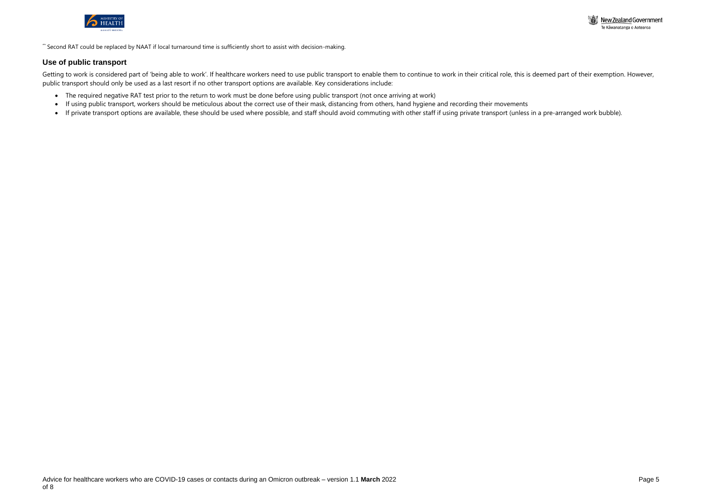



\*\* Second RAT could be replaced by NAAT if local turnaround time is sufficiently short to assist with decision-making.

## **Use of public transport**

Getting to work is considered part of 'being able to work'. If healthcare workers need to use public transport to enable them to continue to work in their critical role, this is deemed part of their exemption. However, public transport should only be used as a last resort if no other transport options are available. Key considerations include:

- The required negative RAT test prior to the return to work must be done before using public transport (not once arriving at work)
- If using public transport, workers should be meticulous about the correct use of their mask, distancing from others, hand hygiene and recording their movements
- If private transport options are available, these should be used where possible, and staff should avoid commuting with other staff if using private transport (unless in a pre-arranged work bubble).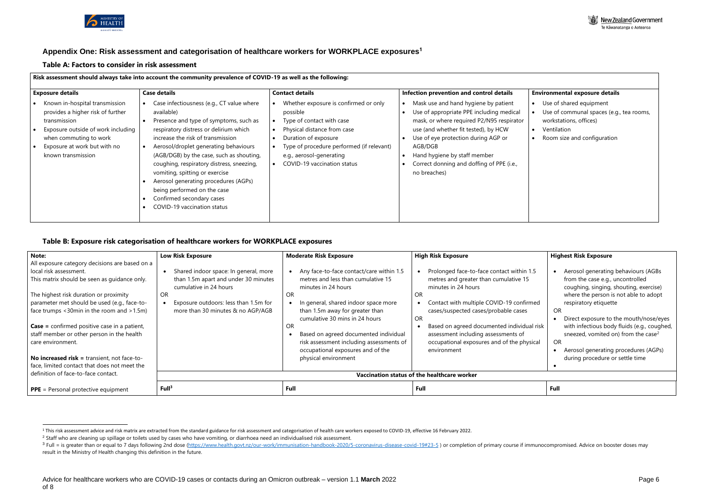

# **Appendix One: Risk assessment and categorisation of healthcare workers for WORKPLACE exposures<sup>1</sup>**

#### **Table A: Factors to consider in risk assessment**

#### **Risk assessment should always take into account the community prevalence of COVID-19 as well as the following:**

| <b>Exposure details</b>                                                                                                                                                                                   | <b>Case details</b>                                                                                                                                                                                                                                                                                                                                                                                                                                                                                               | <b>Contact details</b>                                                                                                                                                                                                                        | Infection prevention and control details                                                                                                                                                                                                                                                                             |
|-----------------------------------------------------------------------------------------------------------------------------------------------------------------------------------------------------------|-------------------------------------------------------------------------------------------------------------------------------------------------------------------------------------------------------------------------------------------------------------------------------------------------------------------------------------------------------------------------------------------------------------------------------------------------------------------------------------------------------------------|-----------------------------------------------------------------------------------------------------------------------------------------------------------------------------------------------------------------------------------------------|----------------------------------------------------------------------------------------------------------------------------------------------------------------------------------------------------------------------------------------------------------------------------------------------------------------------|
| Known in-hospital transmission<br>provides a higher risk of further<br>transmission<br>Exposure outside of work including<br>when commuting to work<br>Exposure at work but with no<br>known transmission | Case infectiousness (e.g., CT value where<br>$\bullet$<br>available)<br>Presence and type of symptoms, such as<br>respiratory distress or delirium which<br>increase the risk of transmission<br>Aerosol/droplet generating behaviours<br>$\bullet$<br>(AGB/DGB) by the case, such as shouting,<br>coughing, respiratory distress, sneezing,<br>vomiting, spitting or exercise<br>Aerosol generating procedures (AGPs)<br>being performed on the case<br>Confirmed secondary cases<br>COVID-19 vaccination status | Whether exposure is confirmed or only<br>possible<br>Type of contact with case<br>Physical distance from case<br>Duration of exposure<br>Type of procedure performed (if relevant)<br>e.g., aerosol-generating<br>COVID-19 vaccination status | Mask use and hand hygiene by patient<br>Use of appropriate PPE including medical<br>mask, or where required P2/N95 respirator<br>use (and whether fit tested), by HCW<br>Use of eye protection during AGP or<br>AGB/DGB<br>Hand hygiene by staff member<br>Correct donning and doffing of PPE (i.e.,<br>no breaches) |

#### **Environmental exposure details**

- Use of shared equipment
- Use of communal spaces (e.g., tea rooms, workstations, offices)
- Ventilation
- Room size and configuration

#### **Table B: Exposure risk categorisation of healthcare workers for WORKPLACE exposures**

| Note:                                               | <b>Low Risk Exposure</b>                    | <b>Moderate Risk Exposure</b>            | <b>High Risk Exposure</b>                  | <b>Highest Risk Exposure</b>                    |  |
|-----------------------------------------------------|---------------------------------------------|------------------------------------------|--------------------------------------------|-------------------------------------------------|--|
| All exposure category decisions are based on a      |                                             |                                          |                                            |                                                 |  |
| local risk assessment.                              | Shared indoor space: In general, more       | Any face-to-face contact/care within 1.5 | Prolonged face-to-face contact within 1.5  | Aerosol generating behaviours (AGBs             |  |
| This matrix should be seen as guidance only.        | than 1.5m apart and under 30 minutes        | metres and less than cumulative 15       | metres and greater than cumulative 15      | from the case e.g., uncontrolled                |  |
|                                                     | cumulative in 24 hours                      | minutes in 24 hours                      | minutes in 24 hours                        | coughing, singing, shouting, exercise)          |  |
| The highest risk duration or proximity              | OR.                                         | OR.                                      | OR.                                        | where the person is not able to adopt           |  |
| parameter met should be used (e.g., face-to-        | Exposure outdoors: less than 1.5m for       | In general, shared indoor space more     | Contact with multiple COVID-19 confirmed   | respiratory etiquette                           |  |
| face trumps <30min in the room and >1.5m)           | more than 30 minutes & no AGP/AGB           | than 1.5m away for greater than          | cases/suspected cases/probable cases       | OR                                              |  |
|                                                     |                                             | cumulative 30 mins in 24 hours           | <b>OR</b>                                  | Direct exposure to the mouth/nose/eyes          |  |
| <b>Case</b> = confirmed positive case in a patient, |                                             | OR.                                      | Based on agreed documented individual risk | with infectious body fluids (e.g., coughed,     |  |
| staff member or other person in the health          |                                             | Based on agreed documented individual    | assessment including assessments of        | sneezed, vomited on) from the case <sup>2</sup> |  |
| care environment.                                   |                                             | risk assessment including assessments of | occupational exposures and of the physical | OR                                              |  |
|                                                     |                                             | occupational exposures and of the        | environment                                | Aerosol generating procedures (AGPs)            |  |
| No increased risk = transient, not face-to-         |                                             | physical environment                     |                                            | during procedure or settle time                 |  |
| face, limited contact that does not meet the        |                                             |                                          |                                            |                                                 |  |
| definition of face-to-face contact.                 | Vaccination status of the healthcare worker |                                          |                                            |                                                 |  |
| $PPE = Personal protective equipment$               | Full <sup>3</sup>                           | Full                                     | Full                                       | <b>Full</b>                                     |  |

<sup>&</sup>lt;sup>3</sup> Full = is greater than or equal to 7 days following 2nd dose [\(https://www.health.govt.nz/our-work/immunisation-handbook-2020/5-coronavirus-disease-covid-19#23-5](https://www.health.govt.nz/our-work/immunisation-handbook-2020/5-coronavirus-disease-covid-19#23-5)) or completion of primary course if immunocompromised. Ad result in the Ministry of Health changing this definition in the future.

<sup>&</sup>lt;sup>1</sup> This risk assessment advice and risk matrix are extracted from the standard guidance for risk assessment and categorisation of health care workers exposed to COVID-19, effective 16 February 2022.

<sup>&</sup>lt;sup>2</sup> Staff who are cleaning up spillage or toilets used by cases who have vomiting, or diarrhoea need an individualised risk assessment.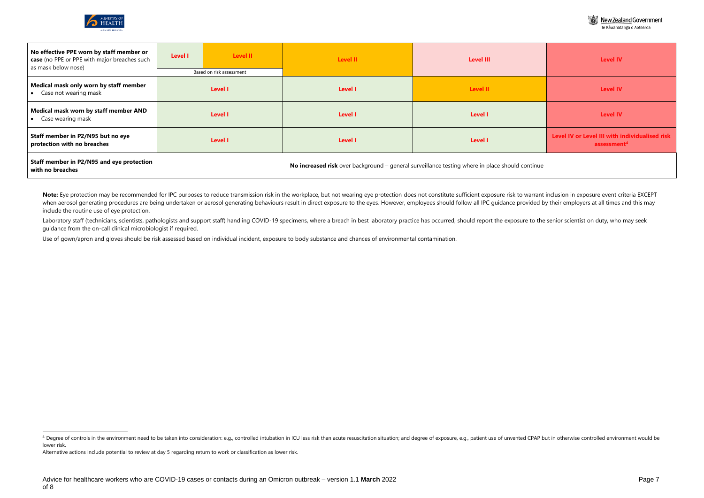

▒ New Zealand Government

| Te Kāwanatanga o Aotearoa |  |  |
|---------------------------|--|--|
|                           |  |  |



| No effective PPE worn by staff member or<br>case (no PPE or PPE with major breaches such<br>as mask below nose) | <b>Level I</b>                      | Level II | <b>Level II</b> | <b>Level III</b>                                                                                | <b>Level IV</b>                                                           |  |
|-----------------------------------------------------------------------------------------------------------------|-------------------------------------|----------|-----------------|-------------------------------------------------------------------------------------------------|---------------------------------------------------------------------------|--|
| Medical mask only worn by staff member<br>Case not wearing mask<br>$\bullet$                                    | Based on risk assessment<br>Level I |          | <b>Level I</b>  | Level II                                                                                        | <b>Level IV</b>                                                           |  |
| Medical mask worn by staff member AND<br>Case wearing mask                                                      |                                     | Level I  | Level I         | Level I                                                                                         | <b>Level IV</b>                                                           |  |
| Staff member in P2/N95 but no eye<br>protection with no breaches                                                |                                     | Level I  | <b>Level I</b>  | Level I                                                                                         | Level IV or Level III with individualised risk<br>assessment <sup>4</sup> |  |
| Staff member in P2/N95 and eye protection<br>with no breaches                                                   |                                     |          |                 | No increased risk over background - general surveillance testing where in place should continue |                                                                           |  |

|      | <b>Level IV</b>                                                           |
|------|---------------------------------------------------------------------------|
|      | <b>Level IV</b>                                                           |
|      | <b>Level IV</b>                                                           |
|      | Level IV or Level III with individualised risk<br>assessment <sup>4</sup> |
| inue |                                                                           |

Note: Eye protection may be recommended for IPC purposes to reduce transmission risk in the workplace, but not wearing eye protection does not constitute sufficient exposure risk to warrant inclusion in exposure event crit when aerosol generating procedures are being undertaken or aerosol generating behaviours result in direct exposure to the eyes. However, employees should follow all IPC guidance provided by their employers at all times and include the routine use of eye protection.

Laboratory staff (technicians, scientists, pathologists and support staff) handling COVID-19 specimens, where a breach in best laboratory practice has occurred, should report the exposure to the senior scientist on duty, w guidance from the on-call clinical microbiologist if required.

Use of gown/apron and gloves should be risk assessed based on individual incident, exposure to body substance and chances of environmental contamination.

<sup>4</sup> Degree of controls in the environment need to be taken into consideration: e.g., controlled intubation in ICU less risk than acute resuscitation situation; and degree of exposure, e.g., patient use of unvented CPAP but i lower risk.

Alternative actions include potential to review at day 5 regarding return to work or classification as lower risk.